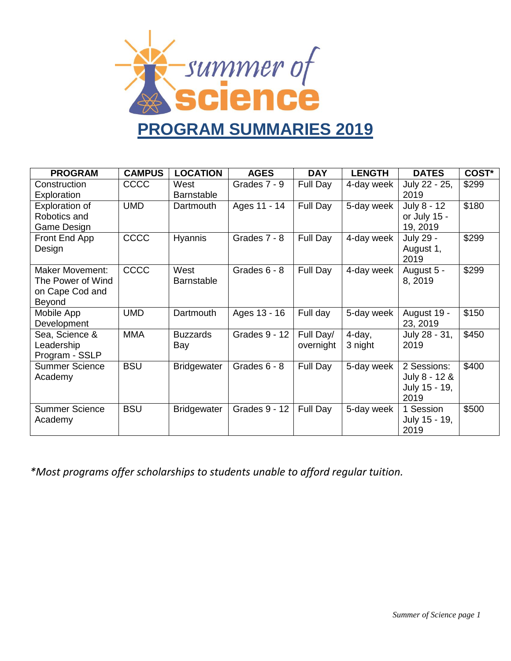

| <b>PROGRAM</b>        | <b>CAMPUS</b> | <b>LOCATION</b>    | <b>AGES</b>   | <b>DAY</b> | <b>LENGTH</b> | <b>DATES</b>  | COST* |
|-----------------------|---------------|--------------------|---------------|------------|---------------|---------------|-------|
| Construction          | CCCC          | West               | Grades 7 - 9  | Full Day   | 4-day week    | July 22 - 25, | \$299 |
| Exploration           |               | <b>Barnstable</b>  |               |            |               | 2019          |       |
| <b>Exploration of</b> | <b>UMD</b>    | Dartmouth          | Ages 11 - 14  | Full Day   | 5-day week    | July 8 - 12   | \$180 |
| Robotics and          |               |                    |               |            |               | or July 15 -  |       |
| Game Design           |               |                    |               |            |               | 19, 2019      |       |
| Front End App         | CCCC          | Hyannis            | Grades 7 - 8  | Full Day   | 4-day week    | July 29 -     | \$299 |
| Design                |               |                    |               |            |               | August 1,     |       |
|                       |               |                    |               |            |               | 2019          |       |
| Maker Movement:       | CCCC          | West               | Grades 6 - 8  | Full Day   | 4-day week    | August 5 -    | \$299 |
| The Power of Wind     |               | <b>Barnstable</b>  |               |            |               | 8, 2019       |       |
| on Cape Cod and       |               |                    |               |            |               |               |       |
| Beyond                |               |                    |               |            |               |               |       |
| Mobile App            | <b>UMD</b>    | Dartmouth          | Ages 13 - 16  | Full day   | 5-day week    | August 19 -   | \$150 |
| Development           |               |                    |               |            |               | 23, 2019      |       |
| Sea, Science &        | <b>MMA</b>    | <b>Buzzards</b>    | Grades 9 - 12 | Full Day/  | $4$ -day,     | July 28 - 31, | \$450 |
| Leadership            |               | Bay                |               | overnight  | 3 night       | 2019          |       |
| Program - SSLP        |               |                    |               |            |               |               |       |
| <b>Summer Science</b> | <b>BSU</b>    | <b>Bridgewater</b> | Grades 6 - 8  | Full Day   | 5-day week    | 2 Sessions:   | \$400 |
| Academy               |               |                    |               |            |               | July 8 - 12 & |       |
|                       |               |                    |               |            |               | July 15 - 19, |       |
|                       |               |                    |               |            |               | 2019          |       |
| <b>Summer Science</b> | <b>BSU</b>    | <b>Bridgewater</b> | Grades 9 - 12 | Full Day   | 5-day week    | 1 Session     | \$500 |
| Academy               |               |                    |               |            |               | July 15 - 19, |       |
|                       |               |                    |               |            |               | 2019          |       |

*\*Most programs offer scholarships to students unable to afford regular tuition.*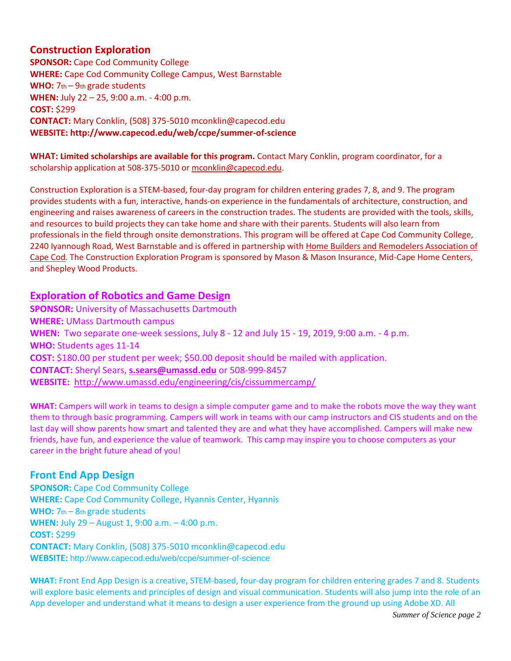# **Construction Exploration**

**SPONSOR: Cape Cod Community College WHERE:** Cape Cod Community College Campus, West Barnstable WHO:  $7<sub>th</sub> - 9<sub>th</sub>$  grade students **WHEN:** July 22 – 25, 9:00 a.m. - 4:00 p.m. **COST:** \$299 **CONTACT:** Mary Conklin, (508) 375-5010 mconklin@capecod.edu **WEBSITE: http://www.capecod.edu/web/ccpe/summer-of-science** 

**WHAT: Limited scholarships are available for this program.** Contact Mary Conklin, program coordinator, for a scholarship application at 508-375-5010 o[r mconklin@capecod.edu.](mailto:mconklin@capecod.edu)

Construction Exploration is a STEM-based, four-day program for children entering grades 7, 8, and 9. The program provides students with a fun, interactive, hands-on experience in the fundamentals of architecture, construction, and engineering and raises awareness of careers in the construction trades. The students are provided with the tools, skills, and resources to build projects they can take home and share with their parents. Students will also learn from professionals in the field through onsite demonstrations. This program will be offered at Cape Cod Community College, 2240 Iyannough Road, West Barnstable and is offered in partnership wit[h Home Builders and Remodelers Association of](http://www.capecodbuilders.org/)  [Cape Cod.](http://www.capecodbuilders.org/) The Construction Exploration Program is sponsored by Mason & Mason Insurance, Mid-Cape Home Centers, and Shepley Wood Products.

## **Exploration of Robotics and Game Design**

**SPONSOR:** University of Massachusetts Dartmouth **WHERE:** UMass Dartmouth campus **WHEN:** Two separate one-week sessions, July 8 - 12 and July 15 - 19, 2019, 9:00 a.m. - 4 p.m. **WHO:** Students ages 11-14 **COST:** \$180.00 per student per week; \$50.00 deposit should be mailed with application. **CONTACT:** Sheryl Sears, **[s.sears@umassd.edu](mailto:s.sears@umassd.edu)** or 508-999-8457 **WEBSITE:** <http://www.umassd.edu/engineering/cis/cissummercamp/>

**WHAT:** Campers will work in teams to design a simple computer game and to make the robots move the way they want them to through basic programming. Campers will work in teams with our camp instructors and CIS students and on the last day will show parents how smart and talented they are and what they have accomplished. Campers will make new friends, have fun, and experience the value of teamwork. This camp may inspire you to choose computers as your career in the bright future ahead of you!

## **Front End App Design**

**SPONSOR: Cape Cod Community College WHERE:** Cape Cod Community College, Hyannis Center, Hyannis WHO:  $7th - 8th$  grade students **WHEN:** July 29 – August 1, 9:00 a.m. – 4:00 p.m. **COST:** \$299 **CONTACT:** Mary Conklin, (508) 375-5010 mconklin@capecod.edu **WEBSITE:** http://www.capecod.edu/web/ccpe/summer-of-science

**WHAT:** Front End App Design is a creative, STEM-based, four-day program for children entering grades 7 and 8. Students will explore basic elements and principles of design and visual communication. Students will also jump into the role of an App developer and understand what it means to design a user experience from the ground up using Adobe XD. All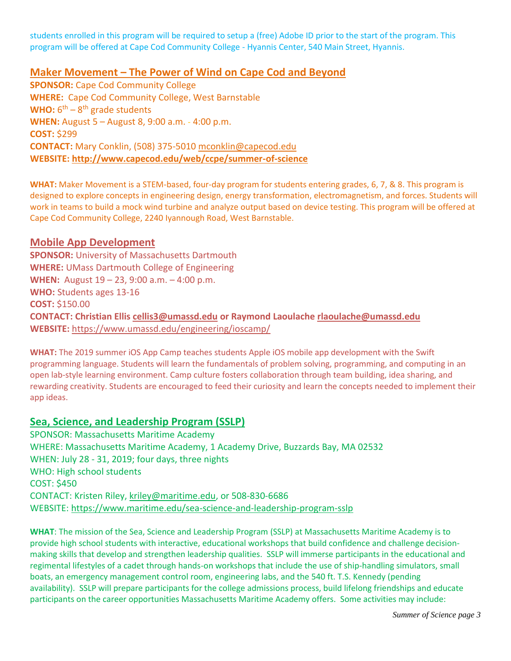students enrolled in this program will be required to setup a (free) Adobe ID prior to the start of the program. This program will be offered at Cape Cod Community College - Hyannis Center, 540 Main Street, Hyannis.

## **Maker Movement – The Power of Wind on Cape Cod and Beyond**

**SPONSOR: Cape Cod Community College WHERE:** Cape Cod Community College, West Barnstable WHO: 6<sup>th</sup> – 8<sup>th</sup> grade students **WHEN:** August 5 – August 8, 9:00 a.m. - 4:00 p.m. **COST:** \$299 **CONTACT:** Mary Conklin, (508) 375-5010 [mconklin@capecod.edu](mailto:mconklin@capecod.edu) **WEBSITE:<http://www.capecod.edu/web/ccpe/summer-of-science>**

**WHAT:** Maker Movement is a STEM-based, four-day program for students entering grades, 6, 7, & 8. This program is designed to explore concepts in engineering design, energy transformation, electromagnetism, and forces. Students will work in teams to build a mock wind turbine and analyze output based on device testing. This program will be offered at Cape Cod Community College, 2240 Iyannough Road, West Barnstable.

#### **Mobile App Development**

**SPONSOR:** University of Massachusetts Dartmouth **WHERE:** UMass Dartmouth College of Engineering **WHEN:** August 19 – 23, 9:00 a.m. – 4:00 p.m. **WHO:** Students ages 13-16 **COST:** \$150.00 **CONTACT: Christian Ellis [cellis3@umassd.edu](mailto:cellis3@umassd.edu) or Raymond Laoulache [rlaoulache@umassd.edu](mailto:rlaoulache@umassd.edu) WEBSITE:** <https://www.umassd.edu/engineering/ioscamp/>

**WHAT:** The 2019 summer iOS App Camp teaches students Apple iOS mobile app development with the Swift programming language. Students will learn the fundamentals of problem solving, programming, and computing in an open lab-style learning environment. Camp culture fosters collaboration through team building, idea sharing, and rewarding creativity. Students are encouraged to feed their curiosity and learn the concepts needed to implement their app ideas.

### **Sea, Science, and Leadership Program (SSLP)**

SPONSOR: Massachusetts Maritime Academy WHERE: Massachusetts Maritime Academy, 1 Academy Drive, Buzzards Bay, MA 02532 WHEN: July 28 - 31, 2019; four days, three nights WHO: High school students COST: \$450 CONTACT: Kristen Riley, [kriley@maritime.edu,](mailto:kriley@maritime.edu) or 508-830-6686 WEBSITE:<https://www.maritime.edu/sea-science-and-leadership-program-sslp>

**WHAT**: The mission of the Sea, Science and Leadership Program (SSLP) at Massachusetts Maritime Academy is to provide high school students with interactive, educational workshops that build confidence and challenge decisionmaking skills that develop and strengthen leadership qualities. SSLP will immerse participants in the educational and regimental lifestyles of a cadet through hands-on workshops that include the use of ship-handling simulators, small boats, an emergency management control room, engineering labs, and the 540 ft. T.S. Kennedy (pending availability). SSLP will prepare participants for the college admissions process, build lifelong friendships and educate participants on the career opportunities Massachusetts Maritime Academy offers. Some activities may include: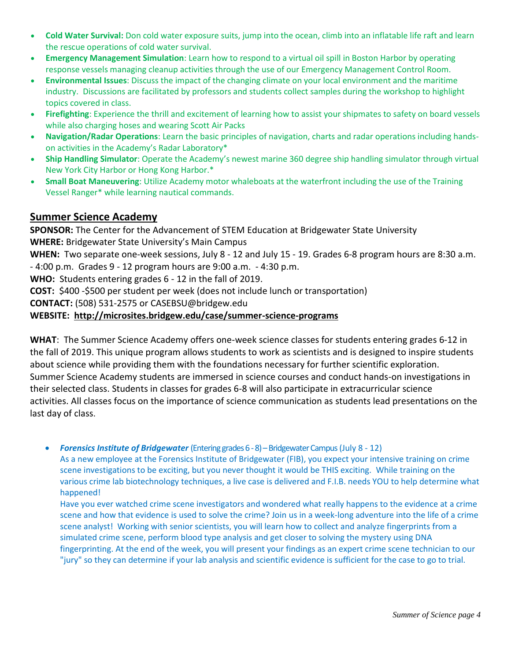- **Cold Water Survival:** Don cold water exposure suits, jump into the ocean, climb into an inflatable life raft and learn the rescue operations of cold water survival.
- **Emergency Management Simulation**: Learn how to respond to a virtual oil spill in Boston Harbor by operating response vessels managing cleanup activities through the use of our Emergency Management Control Room.
- **Environmental Issues**: Discuss the impact of the changing climate on your local environment and the maritime industry. Discussions are facilitated by professors and students collect samples during the workshop to highlight topics covered in class.
- **Firefighting**: Experience the thrill and excitement of learning how to assist your shipmates to safety on board vessels while also charging hoses and wearing Scott Air Packs
- **Navigation/Radar Operations**: Learn the basic principles of navigation, charts and radar operations including handson activities in the Academy's Radar Laboratory\*
- **Ship Handling Simulator**: Operate the Academy's newest marine 360 degree ship handling simulator through virtual New York City Harbor or Hong Kong Harbor.\*
- **Small Boat Maneuvering**: Utilize Academy motor whaleboats at the waterfront including the use of the Training Vessel Ranger\* while learning nautical commands.

# **Summer Science Academy**

**SPONSOR:** The Center for the Advancement of STEM Education at Bridgewater State University **WHERE:** Bridgewater State University's Main Campus **WHEN:** Two separate one-week sessions, July 8 - 12 and July 15 - 19. Grades 6-8 program hours are 8:30 a.m.

- 4:00 p.m. Grades 9 - 12 program hours are 9:00 a.m. - 4:30 p.m.

**WHO:** Students entering grades 6 - 12 in the fall of 2019.

**COST:** \$400 -\$500 per student per week (does not include lunch or transportation)

**CONTACT:** (508) 531-2575 or CASEBSU@bridgew.edu

#### **WEBSITE: <http://microsites.bridgew.edu/case/summer-science-programs>**

**WHAT**: The Summer Science Academy offers one-week science classes for students entering grades 6-12 in the fall of 2019. This unique program allows students to work as scientists and is designed to inspire students about science while providing them with the foundations necessary for further scientific exploration. Summer Science Academy students are immersed in science courses and conduct hands-on investigations in their selected class. Students in classes for grades 6-8 will also participate in extracurricular science activities. All classes focus on the importance of science communication as students lead presentations on the last day of class.

*Forensics Institute of Bridgewater* (Entering grades 6-8) –Bridgewater Campus(July 8 - 12)

As a new employee at the Forensics Institute of Bridgewater (FIB), you expect your intensive training on crime scene investigations to be exciting, but you never thought it would be THIS exciting. While training on the various crime lab biotechnology techniques, a live case is delivered and F.I.B. needs YOU to help determine what happened!

Have you ever watched crime scene investigators and wondered what really happens to the evidence at a crime scene and how that evidence is used to solve the crime? Join us in a week-long adventure into the life of a crime scene analyst! Working with senior scientists, you will learn how to collect and analyze fingerprints from a simulated crime scene, perform blood type analysis and get closer to solving the mystery using DNA fingerprinting. At the end of the week, you will present your findings as an expert crime scene technician to our "jury" so they can determine if your lab analysis and scientific evidence is sufficient for the case to go to trial.